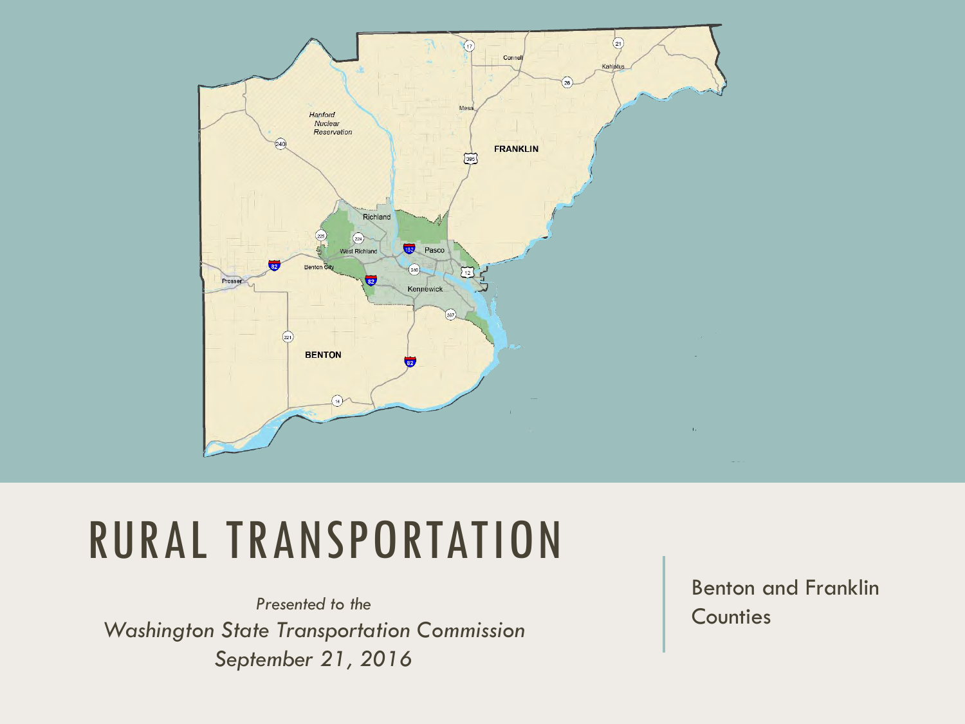

## RURAL TRANSPORTATION

Presented to the **Presented to the** *Counties Washington State Transportation Commission September 21, 2016*

Benton and Franklin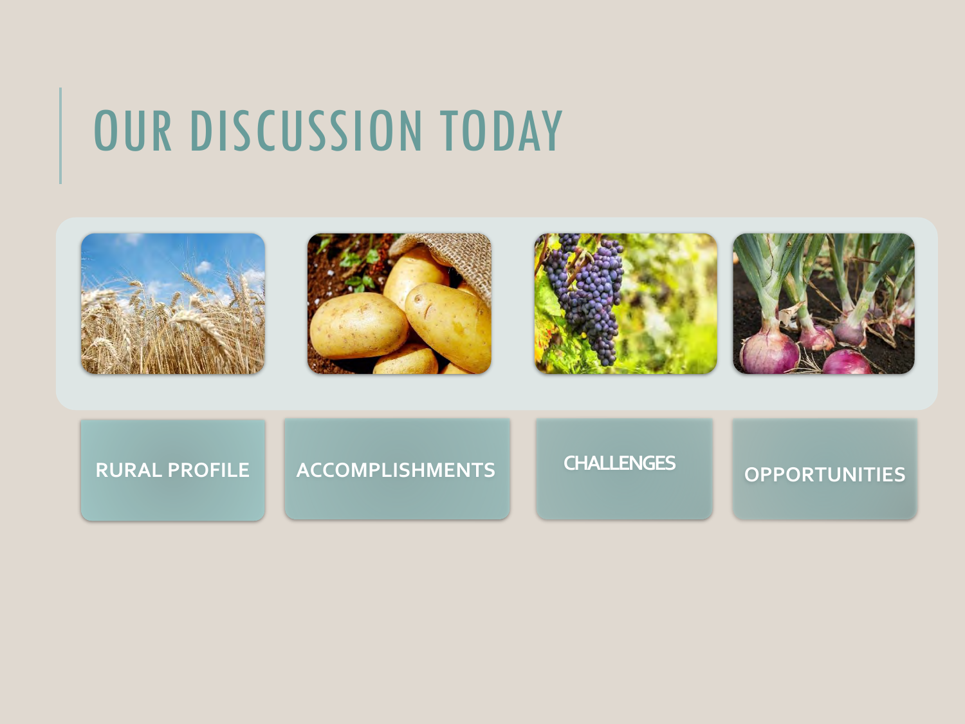# OUR DISCUSSION TODAY



**RURAL PROFILE ACCOMPLISHMENTS CHALLENGES OPPORTUNITIES**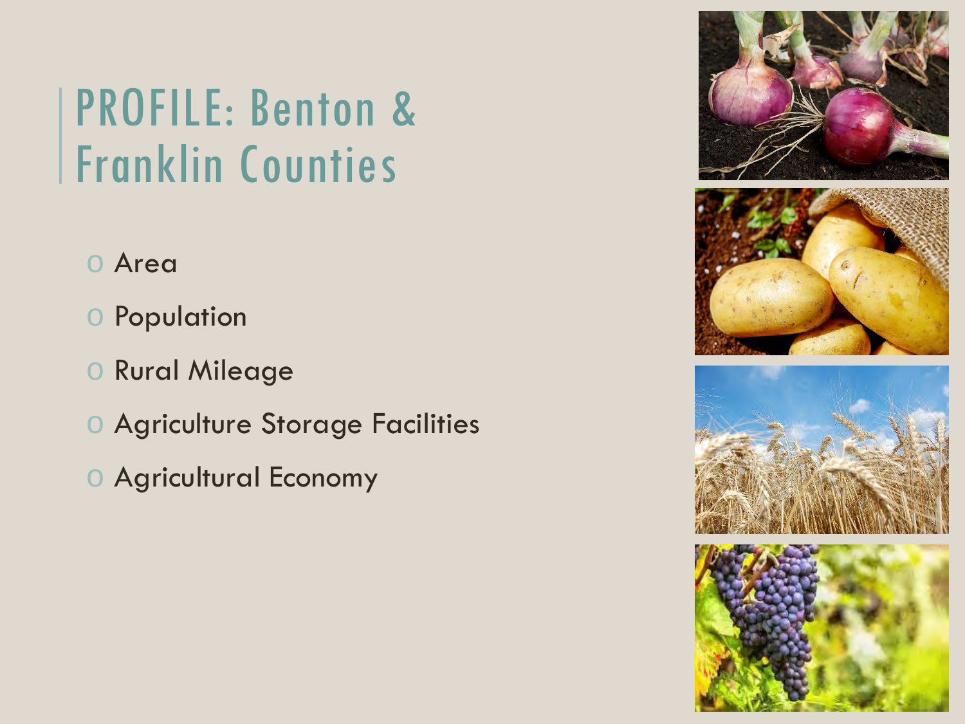## PROFILE: Benton & Franklin Counties

- o Area
- o Population
- o Rural Mileage
- o Agriculture Storage Facilities
- o Agricultural Economy

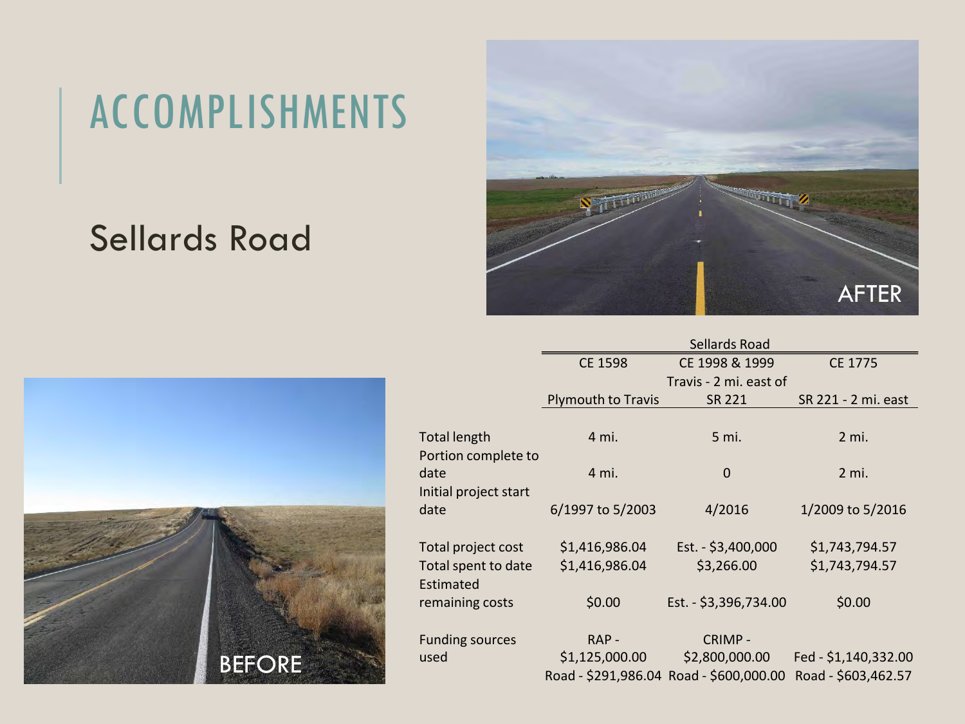### ACCOMPLISHMENTS

### Sellards Road





|               |                                                        | <b>Sellards Road</b>             |                                         |                                  |
|---------------|--------------------------------------------------------|----------------------------------|-----------------------------------------|----------------------------------|
|               |                                                        | <b>CE 1598</b>                   | CE 1998 & 1999                          | CE 1775                          |
|               |                                                        |                                  | Travis - 2 mi. east of                  |                                  |
|               |                                                        | Plymouth to Travis               | SR 221                                  | SR 221 - 2 mi. east              |
|               | <b>Total length</b><br>Portion complete to             | 4 mi.                            | 5 mi.                                   | $2$ mi.                          |
|               | date                                                   | 4 mi.                            | $\mathbf 0$                             | 2 mi.                            |
|               | Initial project start<br>date                          | 6/1997 to 5/2003                 | 4/2016                                  | 1/2009 to 5/2016                 |
|               | Total project cost<br>Total spent to date<br>Estimated | \$1,416,986.04<br>\$1,416,986.04 | Est. - \$3,400,000<br>\$3,266.00        | \$1,743,794.57<br>\$1,743,794.57 |
|               | remaining costs                                        | \$0.00                           | Est. - \$3,396,734.00                   | \$0.00                           |
|               | <b>Funding sources</b>                                 | RAP-                             | CRIMP-                                  |                                  |
| <b>BEFORE</b> | used                                                   | \$1,125,000.00                   | \$2,800,000.00                          | Fed - \$1,140,332.00             |
|               |                                                        |                                  | Road - \$291,986.04 Road - \$600,000.00 | Road - \$603,462.57              |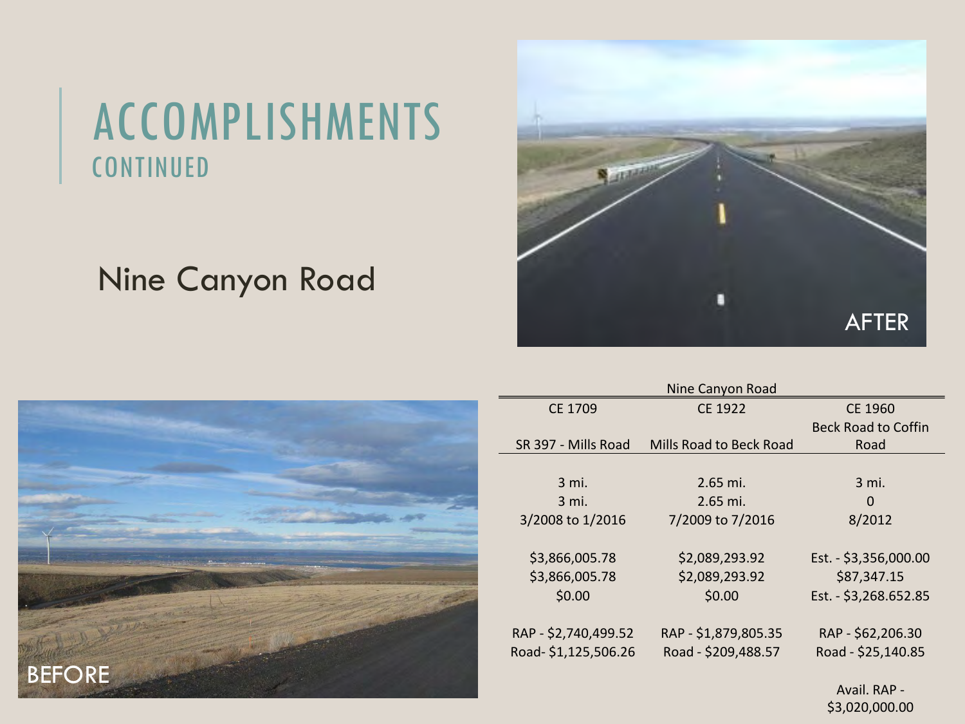### ACCOMPLISHMENTS CONTINUED

#### Nine Canyon Road





| Nine Canyon Road     |                         |                            |  |  |  |
|----------------------|-------------------------|----------------------------|--|--|--|
| CE 1709              | CE 1922                 | CE 1960                    |  |  |  |
|                      |                         | <b>Beck Road to Coffin</b> |  |  |  |
| SR 397 - Mills Road  | Mills Road to Beck Road | Road                       |  |  |  |
|                      |                         |                            |  |  |  |
| 3 mi.                | 2.65 mi.                | 3 mi.                      |  |  |  |
| 3 mi.                | $2.65$ mi.              | 0                          |  |  |  |
| 3/2008 to 1/2016     | 7/2009 to 7/2016        | 8/2012                     |  |  |  |
|                      |                         |                            |  |  |  |
| \$3,866,005.78       | \$2,089,293.92          | Est. - \$3,356,000.00      |  |  |  |
| \$3,866,005.78       | \$2,089,293.92          | \$87,347.15                |  |  |  |
| \$0.00               | \$0.00                  | Est. - \$3,268.652.85      |  |  |  |
|                      |                         |                            |  |  |  |
| RAP - \$2,740,499.52 | RAP - \$1,879,805.35    | RAP - \$62,206.30          |  |  |  |
| Road-\$1,125,506.26  | Road - \$209,488.57     | Road - \$25,140.85         |  |  |  |
|                      |                         |                            |  |  |  |
|                      |                         | Avail. RAP -               |  |  |  |

\$3,020,000.00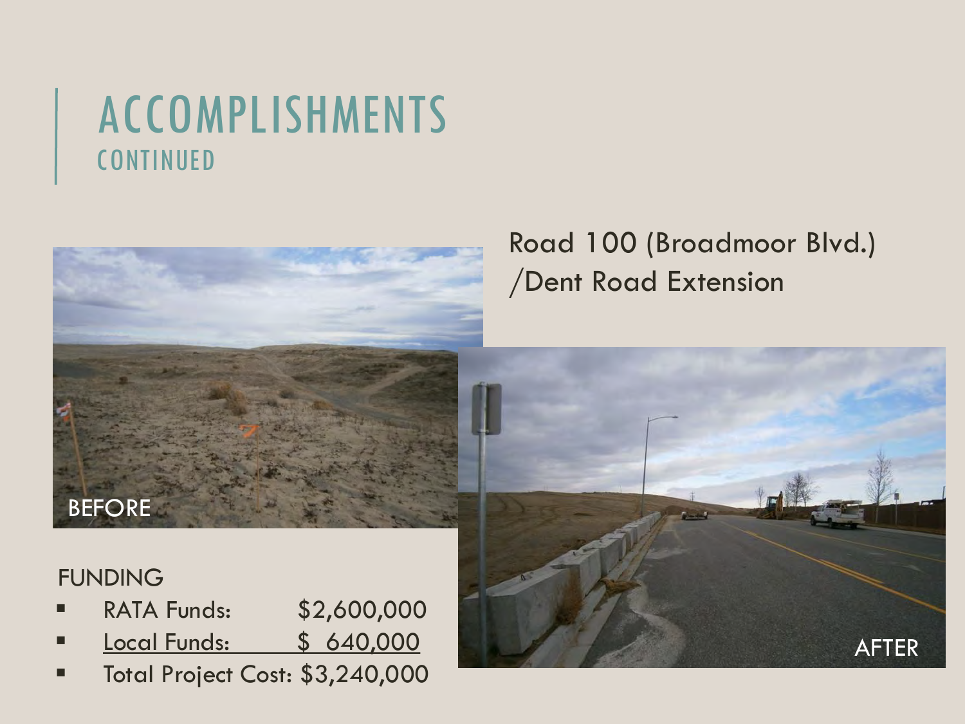### ACCOMPLISHMENTS CONTINUED



#### FUNDING

- RATA Funds: \$2,600,000
- **Local Funds: \$ 640,000**
- **Total Project Cost: \$3,240,000**

#### Road 100 (Broadmoor Blvd.) /Dent Road Extension

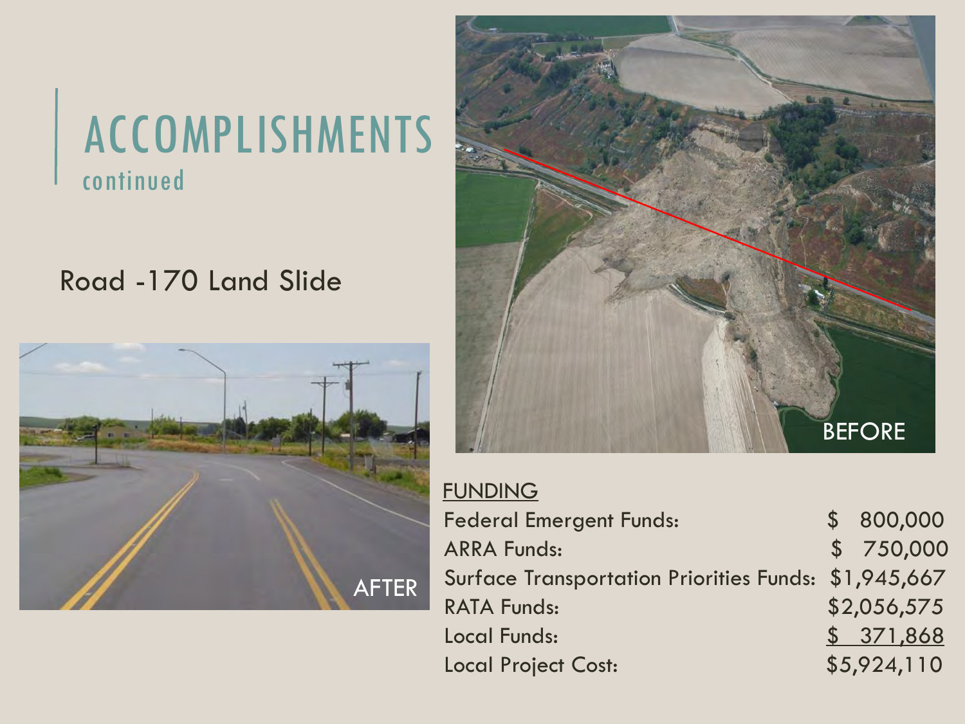### ACCOMPLISHMENTS continued

#### Road -170 Land Slide





| <b>FUNDING</b>                                       |             |
|------------------------------------------------------|-------------|
| <b>Federal Emergent Funds:</b>                       | \$800,000   |
| <b>ARRA Funds:</b>                                   | \$ 750,000  |
| Surface Transportation Priorities Funds: \$1,945,667 |             |
| <b>RATA Funds:</b>                                   | \$2,056,575 |
| <b>Local Funds:</b>                                  | \$371,868   |
| <b>Local Project Cost:</b>                           | \$5,924,110 |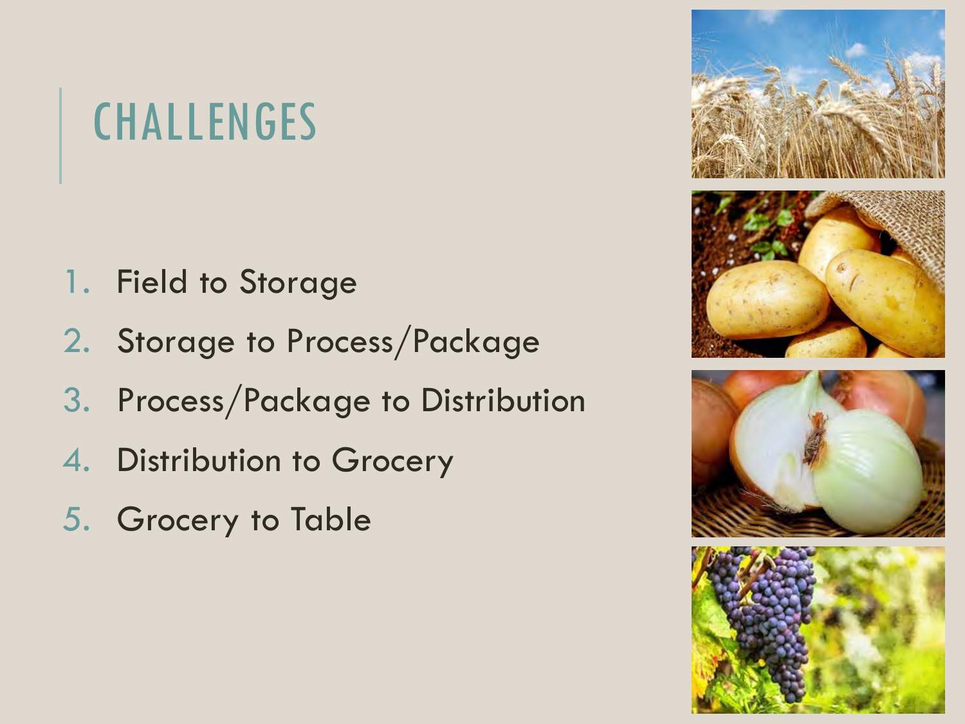## **CHALLENGES**

- 1. Field to Storage
- 2. Storage to Process/Package
- 3. Process/Package to Distribution
- 4. Distribution to Grocery
- 5. Grocery to Table

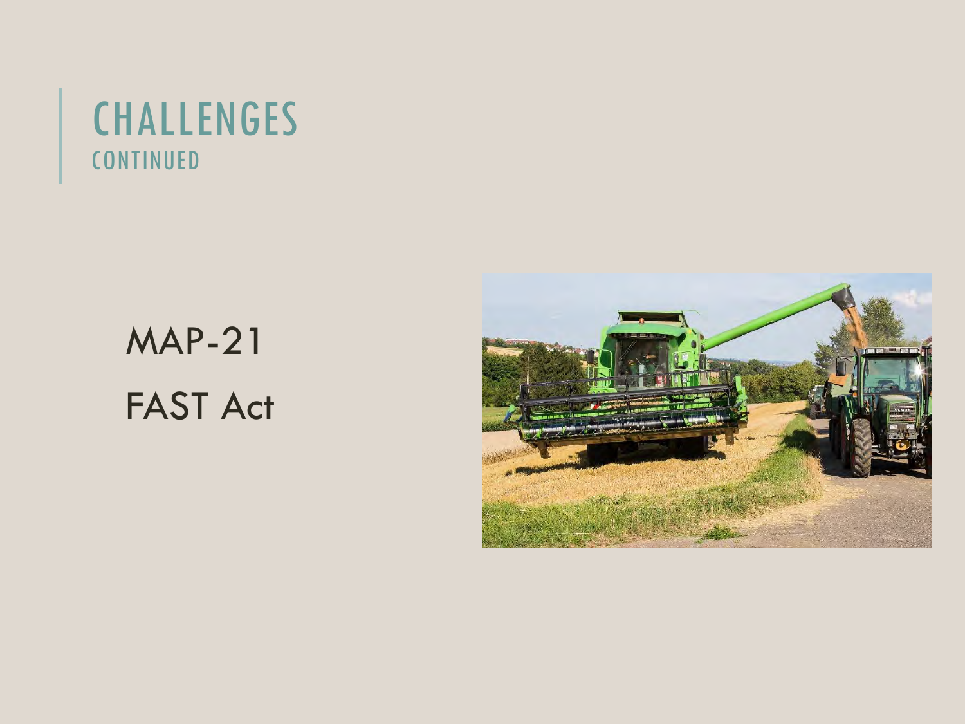### CHALLENGES **CONTINUED**

### MAP-21 FAST Act